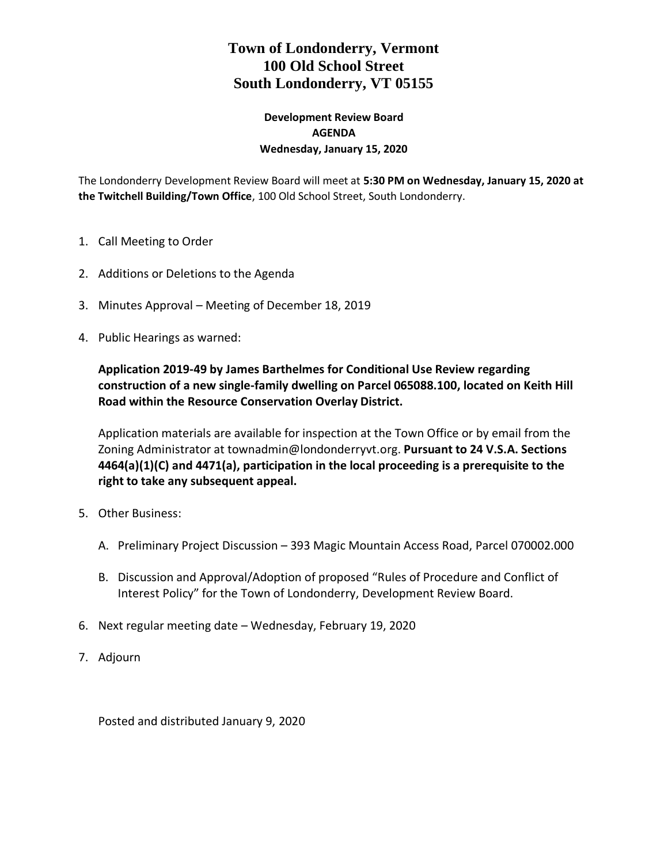# **Town of Londonderry, Vermont 100 Old School Street South Londonderry, VT 05155**

### **Development Review Board AGENDA Wednesday, January 15, 2020**

The Londonderry Development Review Board will meet at **5:30 PM on Wednesday, January 15, 2020 at the Twitchell Building/Town Office**, 100 Old School Street, South Londonderry.

- 1. Call Meeting to Order
- 2. Additions or Deletions to the Agenda
- 3. Minutes Approval Meeting of December 18, 2019
- 4. Public Hearings as warned:

**Application 2019-49 by James Barthelmes for Conditional Use Review regarding construction of a new single-family dwelling on Parcel 065088.100, located on Keith Hill Road within the Resource Conservation Overlay District.**

Application materials are available for inspection at the Town Office or by email from the Zoning Administrator at townadmin@londonderryvt.org. **Pursuant to 24 V.S.A. Sections 4464(a)(1)(C) and 4471(a), participation in the local proceeding is a prerequisite to the right to take any subsequent appeal.** 

- 5. Other Business:
	- A. Preliminary Project Discussion 393 Magic Mountain Access Road, Parcel 070002.000
	- B. Discussion and Approval/Adoption of proposed "Rules of Procedure and Conflict of Interest Policy" for the Town of Londonderry, Development Review Board.
- 6. Next regular meeting date Wednesday, February 19, 2020
- 7. Adjourn

Posted and distributed January 9, 2020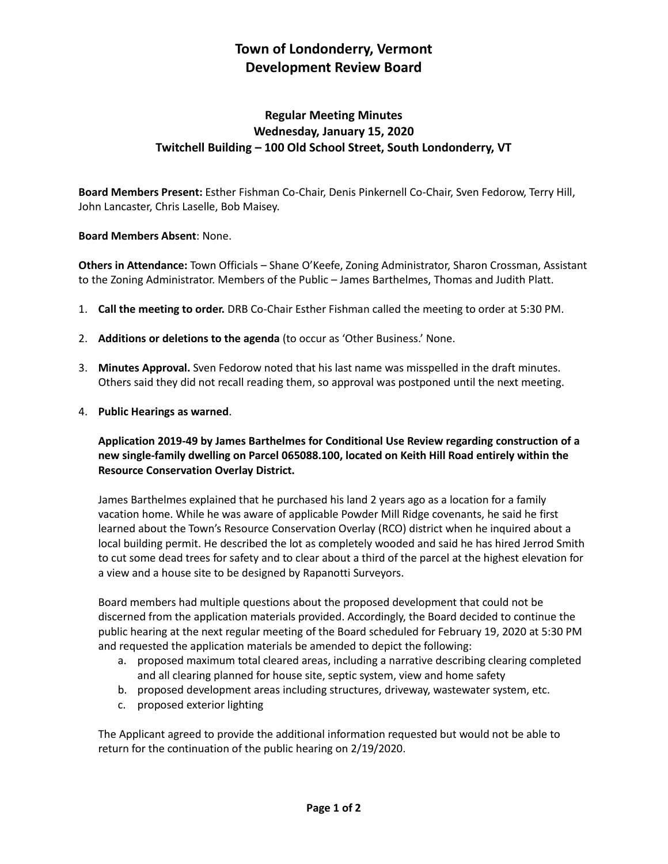# **Town of Londonderry, Vermont Development Review Board**

## **Regular Meeting Minutes Wednesday, January 15, 2020 Twitchell Building – 100 Old School Street, South Londonderry, VT**

**Board Members Present:** Esther Fishman Co-Chair, Denis Pinkernell Co-Chair, Sven Fedorow, Terry Hill, John Lancaster, Chris Laselle, Bob Maisey.

#### **Board Members Absent**: None.

**Others in Attendance:** Town Officials – Shane O'Keefe, Zoning Administrator, Sharon Crossman, Assistant to the Zoning Administrator. Members of the Public – James Barthelmes, Thomas and Judith Platt.

- 1. **Call the meeting to order.** DRB Co-Chair Esther Fishman called the meeting to order at 5:30 PM.
- 2. **Additions or deletions to the agenda** (to occur as 'Other Business.' None.
- 3. **Minutes Approval.** Sven Fedorow noted that his last name was misspelled in the draft minutes. Others said they did not recall reading them, so approval was postponed until the next meeting.
- 4. **Public Hearings as warned**.

**Application 2019-49 by James Barthelmes for Conditional Use Review regarding construction of a new single-family dwelling on Parcel 065088.100, located on Keith Hill Road entirely within the Resource Conservation Overlay District.** 

James Barthelmes explained that he purchased his land 2 years ago as a location for a family vacation home. While he was aware of applicable Powder Mill Ridge covenants, he said he first learned about the Town's Resource Conservation Overlay (RCO) district when he inquired about a local building permit. He described the lot as completely wooded and said he has hired Jerrod Smith to cut some dead trees for safety and to clear about a third of the parcel at the highest elevation for a view and a house site to be designed by Rapanotti Surveyors.

Board members had multiple questions about the proposed development that could not be discerned from the application materials provided. Accordingly, the Board decided to continue the public hearing at the next regular meeting of the Board scheduled for February 19, 2020 at 5:30 PM and requested the application materials be amended to depict the following:

- a. proposed maximum total cleared areas, including a narrative describing clearing completed and all clearing planned for house site, septic system, view and home safety
- b. proposed development areas including structures, driveway, wastewater system, etc.
- c. proposed exterior lighting

The Applicant agreed to provide the additional information requested but would not be able to return for the continuation of the public hearing on 2/19/2020.